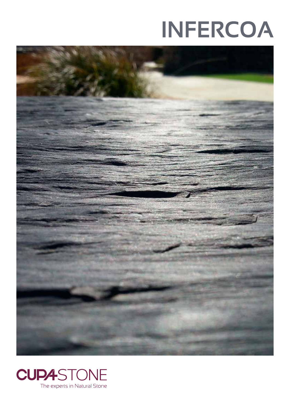# **INFERCOA**



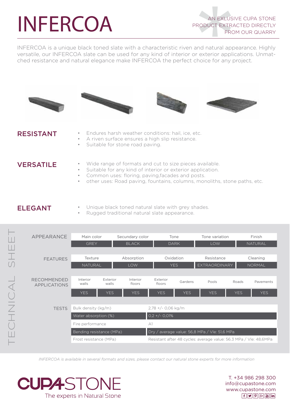# INFERCOA

INFERCOA is a unique black toned slate with a characteristic riven and natural appearance. Highly versatile, our INFERCOA slate can be used for any kind of interior or exterior applications. Unmatched resistance and natural elegance make INFERCOA the perfect choice for any project.









#### RESISTANT

- Endures harsh weather conditions: hail, ice, etc.
- A riven surface ensures a high slip resistance.
- Suitable for stone road paving.

- VERSATILE Wide range of formats and cut to size pieces available.
	- Suitable for any kind of interior or exterior application.
		- Common uses: floring, paving, facades and posts.
		- other uses: Road paving, fountains, columns, monoliths, stone paths, etc.

### ELEGANT

- Unique black toned natural slate with grey shades.
- Rugged traditional natural slate appearance.



*INFERCOA is available in several formats and sizes, please contact our natural stone experts for more information*



T. +34 986 298 300 info@cupastone.com www.cupastone.com  $f[\triangleright g]$  $[9]$  $[3+$  $[3]$  $[1n]$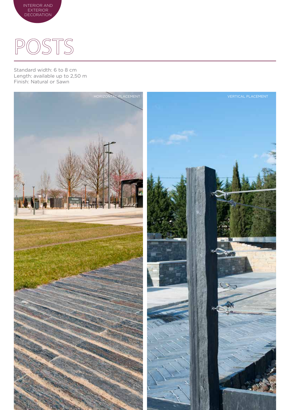

INTERIOR AND EXTERIOR DECORATION

Standard width: 6 to 8 cm Length: available up to 2,50 m Finish: Natural or Sawn

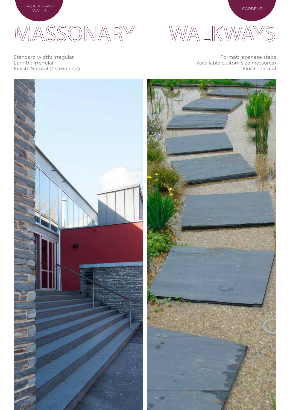

## MASSONARY

Standard width: irregular Length: Irregular Finish: Natural (1 sawn end)



Format: japanese steps (available custom size messures) Finish: natural

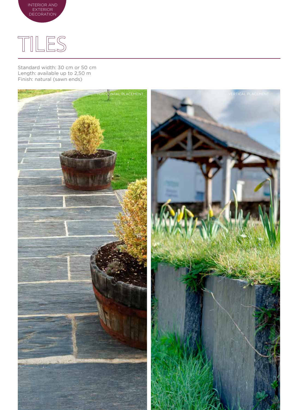



Standard width: 30 cm or 50 cm Length: available up to 2,50 m Finish: natural (sawn ends)

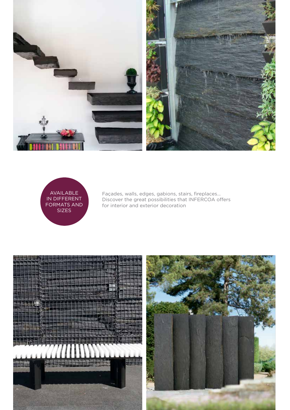



Façades, walls, edges, gabions, stairs, fireplaces... Discover the great possibilities that INFERCOA offers for interior and exterior decoration

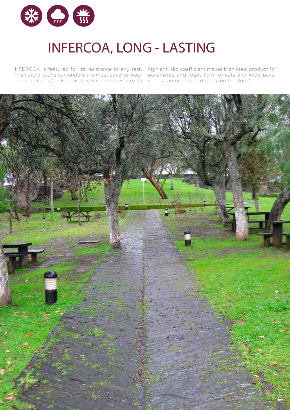

### INFERCOA, LONG - LASTING

INFERCOA is featured for its resistance to any test. This natural stone can endure the most adverse weather conditions (hailstorms, low temperatures, ice) its

high anti slip coefficient makes it an ideal product for pavements and roads (big formats and wide pavements can be placed directly on the floor).